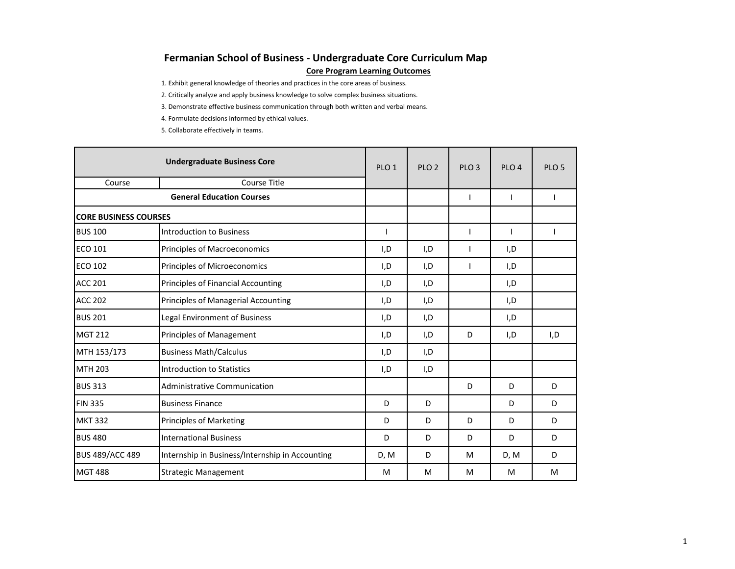# **Fermanian School of Business - Undergraduate Core Curriculum Map**

**Core Program Learning Outcomes**

1. Exhibit general knowledge of theories and practices in the core areas of business.

2. Critically analyze and apply business knowledge to solve complex business situations.

3. Demonstrate effective business communication through both written and verbal means.

4. Formulate decisions informed by ethical values.

5. Collaborate effectively in teams.

|                              | <b>Undergraduate Business Core</b>              | PLO <sub>1</sub> | PLO <sub>2</sub> | PLO <sub>3</sub> | PLO <sub>4</sub> | PLO <sub>5</sub> |
|------------------------------|-------------------------------------------------|------------------|------------------|------------------|------------------|------------------|
| Course                       | <b>Course Title</b>                             |                  |                  |                  |                  |                  |
|                              | <b>General Education Courses</b>                |                  |                  |                  |                  |                  |
| <b>CORE BUSINESS COURSES</b> |                                                 |                  |                  |                  |                  |                  |
| <b>BUS 100</b>               | <b>Introduction to Business</b>                 |                  |                  |                  |                  |                  |
| ECO 101                      | Principles of Macroeconomics                    | I,D              | I,D              |                  | I,D              |                  |
| <b>ECO 102</b>               | Principles of Microeconomics                    | I,D              | I.D              | H                | I, D             |                  |
| <b>ACC 201</b>               | Principles of Financial Accounting              | I,D              | I,D              |                  | I,D              |                  |
| <b>ACC 202</b>               | Principles of Managerial Accounting             | I,D              | I,D              |                  | I,D              |                  |
| <b>BUS 201</b>               | Legal Environment of Business                   | I,D              | I,D              |                  | I,D              |                  |
| <b>MGT 212</b>               | Principles of Management                        | I,D              | I,D              | D                | I,D              | I,D              |
| MTH 153/173                  | <b>Business Math/Calculus</b>                   | I,D              | I,D              |                  |                  |                  |
| <b>MTH 203</b>               | Introduction to Statistics                      | I,D              | I,D              |                  |                  |                  |
| <b>BUS 313</b>               | Administrative Communication                    |                  |                  | D                | D                | D                |
| <b>FIN 335</b>               | <b>Business Finance</b>                         | D                | D                |                  | D                | D                |
| <b>MKT 332</b>               | <b>Principles of Marketing</b>                  | D                | D                | D                | D                | D                |
| <b>BUS 480</b>               | <b>International Business</b>                   | D                | D                | D                | D                | D                |
| <b>BUS 489/ACC 489</b>       | Internship in Business/Internship in Accounting | D, M             | D                | M                | D, M             | D                |
| <b>MGT 488</b>               | <b>Strategic Management</b>                     | M                | м                | M                | M                | M                |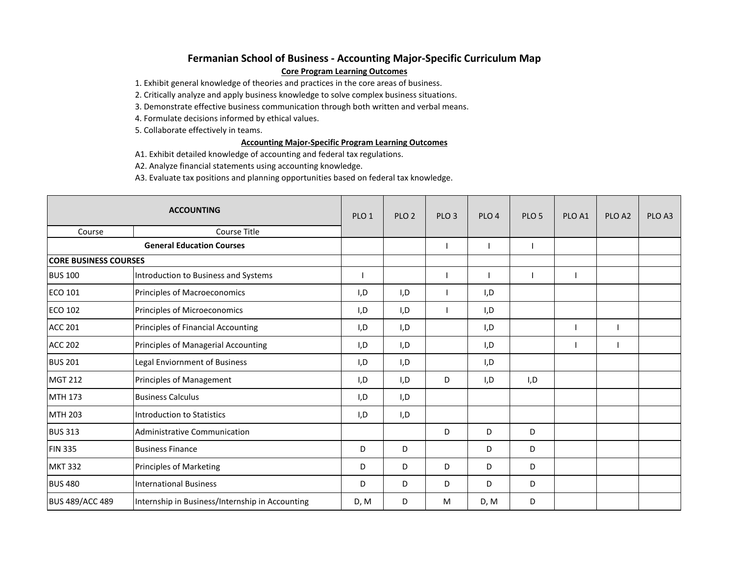# **Fermanian School of Business - Accounting Major-Specific Curriculum Map**

## **Core Program Learning Outcomes**

1. Exhibit general knowledge of theories and practices in the core areas of business.

2. Critically analyze and apply business knowledge to solve complex business situations.

3. Demonstrate effective business communication through both written and verbal means.

4. Formulate decisions informed by ethical values.

5. Collaborate effectively in teams.

## **Accounting Major-Specific Program Learning Outcomes**

A1. Exhibit detailed knowledge of accounting and federal tax regulations.

A2. Analyze financial statements using accounting knowledge.

A3. Evaluate tax positions and planning opportunities based on federal tax knowledge.

|                              | <b>ACCOUNTING</b>                               | PLO <sub>1</sub> | PLO <sub>2</sub> | PLO <sub>3</sub> | PLO <sub>4</sub> | PLO <sub>5</sub> | PLO <sub>A1</sub> | PLO <sub>A2</sub> | PLO A3 |
|------------------------------|-------------------------------------------------|------------------|------------------|------------------|------------------|------------------|-------------------|-------------------|--------|
| Course                       | Course Title                                    |                  |                  |                  |                  |                  |                   |                   |        |
|                              | <b>General Education Courses</b>                |                  |                  |                  |                  |                  |                   |                   |        |
| <b>CORE BUSINESS COURSES</b> |                                                 |                  |                  |                  |                  |                  |                   |                   |        |
| <b>BUS 100</b>               | Introduction to Business and Systems            |                  |                  |                  |                  |                  |                   |                   |        |
| <b>ECO 101</b>               | Principles of Macroeconomics                    | I, D             | I, D             |                  | I,D              |                  |                   |                   |        |
| <b>ECO 102</b>               | Principles of Microeconomics                    | I,D              | I,D              |                  | I,D              |                  |                   |                   |        |
| <b>ACC 201</b>               | Principles of Financial Accounting              | I,D              | I,D              |                  | I,D              |                  |                   |                   |        |
| <b>ACC 202</b>               | Principles of Managerial Accounting             | I,D              | I,D              |                  | I,D              |                  |                   |                   |        |
| <b>BUS 201</b>               | Legal Enviornment of Business                   | I,D              | I, D             |                  | I, D             |                  |                   |                   |        |
| <b>MGT 212</b>               | Principles of Management                        | I,D              | I, D             | D                | I,D              | I,D              |                   |                   |        |
| MTH 173                      | <b>Business Calculus</b>                        | I,D              | I,D              |                  |                  |                  |                   |                   |        |
| <b>MTH 203</b>               | <b>Introduction to Statistics</b>               | I,D              | I, D             |                  |                  |                  |                   |                   |        |
| <b>BUS 313</b>               | <b>Administrative Communication</b>             |                  |                  | D                | D                | D                |                   |                   |        |
| <b>FIN 335</b>               | <b>Business Finance</b>                         | D                | D                |                  | D                | D                |                   |                   |        |
| <b>MKT 332</b>               | <b>Principles of Marketing</b>                  | D                | D                | D                | D                | D                |                   |                   |        |
| <b>BUS 480</b>               | <b>International Business</b>                   | D                | D                | D                | D                | D                |                   |                   |        |
| <b>BUS 489/ACC 489</b>       | Internship in Business/Internship in Accounting | D, M             | D                | м                | D, M             | D                |                   |                   |        |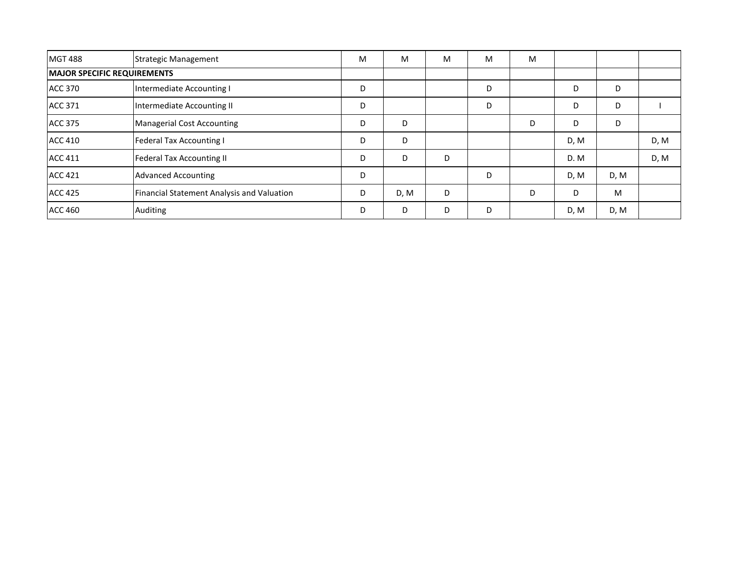| <b>MGT 488</b>                     | <b>Strategic Management</b>                | M | М    | M | м | M |      |      |      |
|------------------------------------|--------------------------------------------|---|------|---|---|---|------|------|------|
| <b>MAJOR SPECIFIC REQUIREMENTS</b> |                                            |   |      |   |   |   |      |      |      |
| <b>ACC 370</b>                     | Intermediate Accounting I                  | D |      |   | D |   | D    | D    |      |
| <b>ACC 371</b>                     | Intermediate Accounting II                 | D |      |   | D |   | D    | D    |      |
| <b>ACC 375</b>                     | Managerial Cost Accounting                 | D | D    |   |   | D | D    | D    |      |
| <b>ACC 410</b>                     | <b>Federal Tax Accounting I</b>            | D | D    |   |   |   | D, M |      | D, M |
| <b>ACC 411</b>                     | <b>Federal Tax Accounting II</b>           | D | D    | D |   |   | D.M  |      | D, M |
| <b>ACC 421</b>                     | <b>Advanced Accounting</b>                 | D |      |   | D |   | D, M | D, M |      |
| <b>ACC 425</b>                     | Financial Statement Analysis and Valuation | D | D, M | D |   | D | D    | M    |      |
| <b>ACC 460</b>                     | Auditing                                   | D | D    | D | D |   | D, M | D, M |      |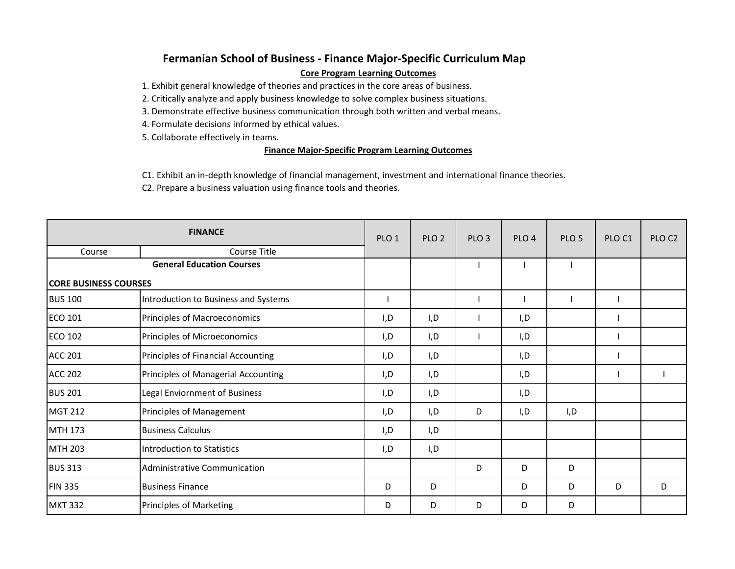# **Fermanian School of Business - Finance Major-Specific Curriculum Map Core Program Learning Outcomes**

1. Exhibit general knowledge of theories and practices in the core areas of business.

2. Critically analyze and apply business knowledge to solve complex business situations.

3. Demonstrate effective business communication through both written and verbal means.

4. Formulate decisions informed by ethical values.

5. Collaborate effectively in teams.

# **Finance Major-Specific Program Learning Outcomes**

C1. Exhibit an in-depth knowledge of financial management, investment and international finance theories.

C2. Prepare a business valuation using finance tools and theories.

|                              | <b>FINANCE</b>                       | PLO <sub>1</sub> | PLO <sub>2</sub> | PLO <sub>3</sub> | PLO <sub>4</sub> | PLO <sub>5</sub> | PLO <sub>C1</sub> | PLO C <sub>2</sub> |
|------------------------------|--------------------------------------|------------------|------------------|------------------|------------------|------------------|-------------------|--------------------|
| Course                       | Course Title                         |                  |                  |                  |                  |                  |                   |                    |
|                              | <b>General Education Courses</b>     |                  |                  |                  |                  |                  |                   |                    |
| <b>CORE BUSINESS COURSES</b> |                                      |                  |                  |                  |                  |                  |                   |                    |
| <b>BUS 100</b>               | Introduction to Business and Systems |                  |                  |                  |                  |                  |                   |                    |
| <b>ECO 101</b>               | Principles of Macroeconomics         | I,D              | I,D              |                  | I,D              |                  |                   |                    |
| <b>ECO 102</b>               | Principles of Microeconomics         | I,D              | I, D             |                  | I,D              |                  |                   |                    |
| <b>ACC 201</b>               | Principles of Financial Accounting   | I,D              | I, D             |                  | I, D             |                  |                   |                    |
| <b>ACC 202</b>               | Principles of Managerial Accounting  | I,D              | I, D             |                  | I, D             |                  |                   |                    |
| <b>BUS 201</b>               | Legal Enviornment of Business        | I,D              | I,D              |                  | I,D              |                  |                   |                    |
| <b>MGT 212</b>               | Principles of Management             | I,D              | I, D             | D                | I, D             | I, D             |                   |                    |
| MTH 173                      | <b>Business Calculus</b>             | I,D              | I, D             |                  |                  |                  |                   |                    |
| <b>MTH 203</b>               | Introduction to Statistics           | I,D              | I, D             |                  |                  |                  |                   |                    |
| <b>BUS 313</b>               | Administrative Communication         |                  |                  | D                | D                | D                |                   |                    |
| <b>FIN 335</b>               | <b>Business Finance</b>              | D                | D                |                  | D                | D                | D                 | D                  |
| <b>MKT 332</b>               | Principles of Marketing              | D                | D                | D                | D                | D                |                   |                    |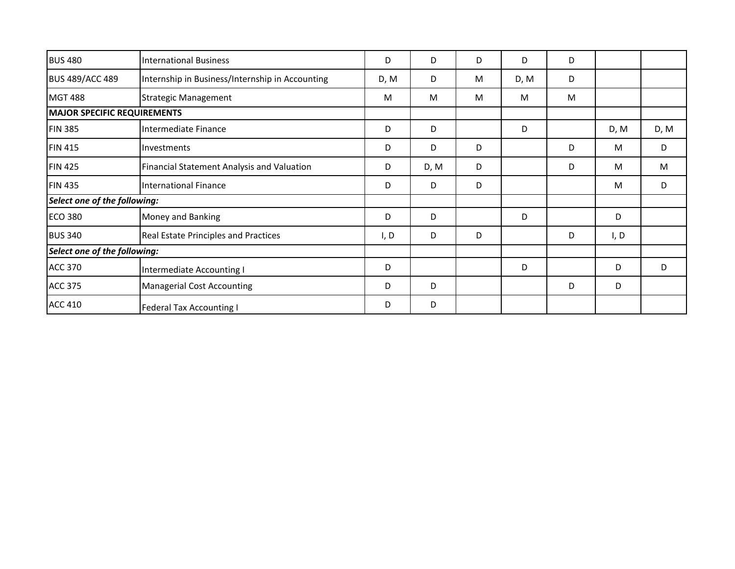| <b>BUS 480</b>                     | <b>International Business</b>                   | D    | D    | D | D    | D |      |      |
|------------------------------------|-------------------------------------------------|------|------|---|------|---|------|------|
| <b>BUS 489/ACC 489</b>             | Internship in Business/Internship in Accounting | D, M | D    | M | D, M | D |      |      |
| <b>MGT 488</b>                     | <b>Strategic Management</b>                     | M    | M    | M | M    | M |      |      |
| <b>MAJOR SPECIFIC REQUIREMENTS</b> |                                                 |      |      |   |      |   |      |      |
| <b>FIN 385</b>                     | Intermediate Finance                            | D    | D    |   | D    |   | D, M | D, M |
| <b>FIN 415</b>                     | Investments                                     | D    | D    | D |      | D | M    | D    |
| <b>FIN 425</b>                     | Financial Statement Analysis and Valuation      | D    | D, M | D |      | D | M    | M    |
| <b>FIN 435</b>                     | <b>International Finance</b>                    | D    | D    | D |      |   | M    | D    |
| Select one of the following:       |                                                 |      |      |   |      |   |      |      |
| <b>ECO 380</b>                     | Money and Banking                               | D    | D    |   | D    |   | D    |      |
| <b>BUS 340</b>                     | <b>Real Estate Principles and Practices</b>     | I, D | D    | D |      | D | I, D |      |
| Select one of the following:       |                                                 |      |      |   |      |   |      |      |
| <b>ACC 370</b>                     | Intermediate Accounting I                       | D    |      |   | D    |   | D    | D    |
| <b>ACC 375</b>                     | <b>Managerial Cost Accounting</b>               | D    | D    |   |      | D | D    |      |
| <b>ACC 410</b>                     | <b>Federal Tax Accounting I</b>                 | D    | D    |   |      |   |      |      |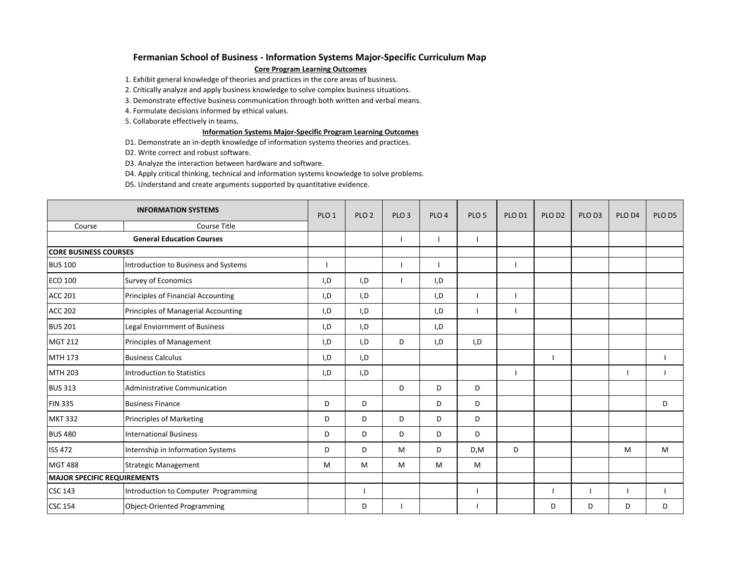### **Fermanian School of Business - Information Systems Major-Specific Curriculum Map**

### **Core Program Learning Outcomes**

1. Exhibit general knowledge of theories and practices in the core areas of business.

2. Critically analyze and apply business knowledge to solve complex business situations.

3. Demonstrate effective business communication through both written and verbal means.

4. Formulate decisions informed by ethical values.

5. Collaborate effectively in teams.

### **Information Systems Major-Specific Program Learning Outcomes**

D1. Demonstrate an in-depth knowledge of information systems theories and practices.

D2. Write correct and robust software.

D3. Analyze the interaction between hardware and software.

D4. Apply critical thinking, technical and information systems knowledge to solve problems.

D5. Understand and create arguments supported by quantitative evidence.

|                                    | <b>INFORMATION SYSTEMS</b>           | PLO <sub>1</sub> | PLO <sub>2</sub> | PLO <sub>3</sub> | PLO <sub>4</sub> | PLO <sub>5</sub> | PLO D1 | PLO D <sub>2</sub> | PLO D3 | PLO D4 | PLO D5 |
|------------------------------------|--------------------------------------|------------------|------------------|------------------|------------------|------------------|--------|--------------------|--------|--------|--------|
| Course                             | Course Title                         |                  |                  |                  |                  |                  |        |                    |        |        |        |
|                                    | <b>General Education Courses</b>     |                  |                  |                  |                  |                  |        |                    |        |        |        |
| <b>CORE BUSINESS COURSES</b>       |                                      |                  |                  |                  |                  |                  |        |                    |        |        |        |
| <b>BUS 100</b>                     | Introduction to Business and Systems |                  |                  |                  |                  |                  |        |                    |        |        |        |
| <b>ECO 100</b>                     | Survey of Economics                  | I, D             | I, D             |                  | I,D              |                  |        |                    |        |        |        |
| <b>ACC 201</b>                     | Principles of Financial Accounting   | I, D             | I, D             |                  | I, D             |                  |        |                    |        |        |        |
| <b>ACC 202</b>                     | Principles of Managerial Accounting  | I, D             | I, D             |                  | I,D              |                  |        |                    |        |        |        |
| <b>BUS 201</b>                     | Legal Enviornment of Business        | I, D             | I, D             |                  | I, D             |                  |        |                    |        |        |        |
| <b>MGT 212</b>                     | Principles of Management             | I,D              | I,D              | D                | I,D              | I, D             |        |                    |        |        |        |
| MTH 173                            | <b>Business Calculus</b>             | I, D             | I, D             |                  |                  |                  |        |                    |        |        |        |
| <b>MTH 203</b>                     | Introduction to Statistics           | I,D              | I,D              |                  |                  |                  |        |                    |        |        |        |
| <b>BUS 313</b>                     | Administrative Communication         |                  |                  | D                | D                | D                |        |                    |        |        |        |
| <b>FIN 335</b>                     | <b>Business Finance</b>              | D                | D                |                  | D                | D                |        |                    |        |        | D      |
| <b>MKT 332</b>                     | Princriples of Marketing             | D                | D                | D                | D                | D                |        |                    |        |        |        |
| <b>BUS 480</b>                     | International Business               | D                | D                | D                | D                | D                |        |                    |        |        |        |
| <b>ISS 472</b>                     | Internship in Information Systems    | D                | D                | M                | D                | D, M             | D      |                    |        | M      | M      |
| <b>MGT 488</b>                     | <b>Strategic Management</b>          | M                | M                | M                | M                | M                |        |                    |        |        |        |
| <b>MAJOR SPECIFIC REQUIREMENTS</b> |                                      |                  |                  |                  |                  |                  |        |                    |        |        |        |
| <b>CSC 143</b>                     | Introduction to Computer Programming |                  |                  |                  |                  |                  |        |                    |        |        |        |
| <b>CSC 154</b>                     | <b>Object-Oriented Programming</b>   |                  | D                |                  |                  |                  |        | D                  | D      | D      | D      |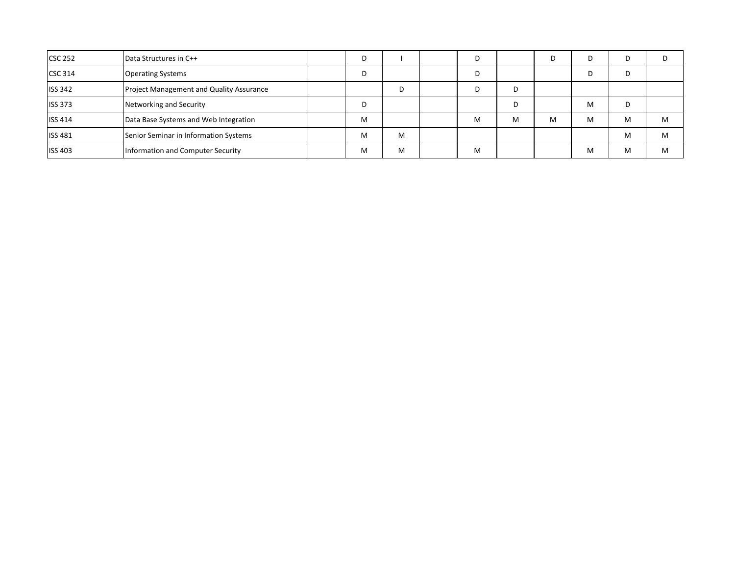| <b>CSC 252</b> | Data Structures in C++                          | D |   | D |   |   | D | D | D |
|----------------|-------------------------------------------------|---|---|---|---|---|---|---|---|
| <b>CSC 314</b> | <b>Operating Systems</b>                        | D |   | D |   |   |   | D |   |
| <b>ISS 342</b> | <b>Project Management and Quality Assurance</b> |   |   | D |   |   |   |   |   |
| <b>ISS 373</b> | Networking and Security                         | D |   |   | D |   | M | D |   |
| <b>ISS 414</b> | Data Base Systems and Web Integration           | M |   | M | M | м | M | M | M |
| <b>ISS 481</b> | Senior Seminar in Information Systems           | M | M |   |   |   |   | M | M |
| <b>ISS 403</b> | Information and Computer Security               | M | M | M |   |   | M | M | M |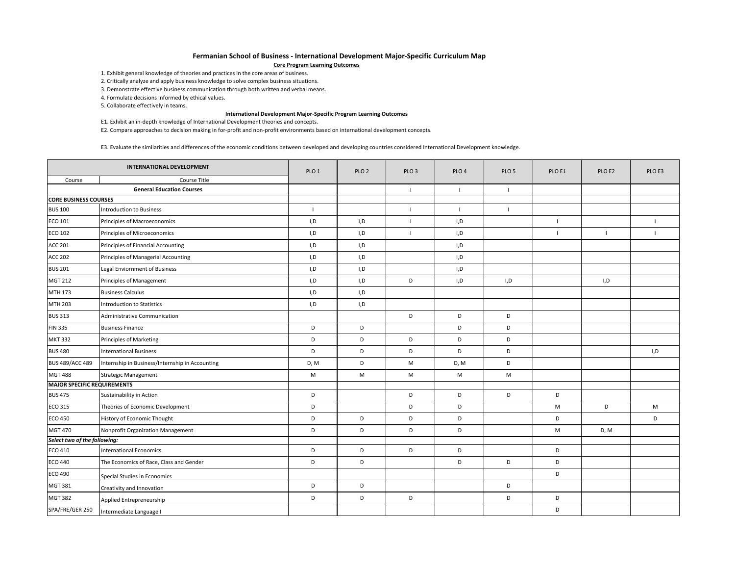#### **Fermanian School of Business - International Development Major-Specific Curriculum Map**

#### **Core Program Learning Outcomes**

1. Exhibit general knowledge of theories and practices in the core areas of business.

2. Critically analyze and apply business knowledge to solve complex business situations.

3. Demonstrate effective business communication through both written and verbal means.

4. Formulate decisions informed by ethical values.

5. Collaborate effectively in teams.

#### **International Development Major-Specific Program Learning Outcomes**

E1. Exhibit an in-depth knowledge of International Development theories and concepts.

E2. Compare approaches to decision making in for-profit and non-profit environments based on international development concepts.

E3. Evaluate the similarities and differences of the economic conditions between developed and developing countries considered International Development knowledge.

|                                    | <b>INTERNATIONAL DEVELOPMENT</b>                | PLO <sub>1</sub> | PLO <sub>2</sub> | PLO <sub>3</sub> | PLO <sub>4</sub> | PLO <sub>5</sub> | PLO E1         | PLO E2       | PLO E3         |
|------------------------------------|-------------------------------------------------|------------------|------------------|------------------|------------------|------------------|----------------|--------------|----------------|
| Course                             | Course Title                                    |                  |                  |                  |                  |                  |                |              |                |
|                                    | <b>General Education Courses</b>                |                  |                  |                  | $\blacksquare$   | $\mathbf{I}$     |                |              |                |
| <b>CORE BUSINESS COURSES</b>       |                                                 |                  |                  |                  |                  |                  |                |              |                |
| <b>BUS 100</b>                     | <b>Introduction to Business</b>                 | $\mathbf{I}$     |                  |                  | $\mathbf{I}$     | $\overline{1}$   |                |              |                |
| ECO 101                            | Principles of Macroeconomics                    | I, D             | I, D             |                  | I, D             |                  | $\overline{1}$ |              | $\blacksquare$ |
| ECO 102                            | Principles of Microeconomics                    | I,D              | I, D             | $\mathbf{I}$     | I,D              |                  | $\mathbf{I}$   | $\mathbf{I}$ | $\mathbf{I}$   |
| <b>ACC 201</b>                     | Principles of Financial Accounting              | I, D             | I, D             |                  | I,D              |                  |                |              |                |
| <b>ACC 202</b>                     | Principles of Managerial Accounting             | I, D             | I, D             |                  | I,D              |                  |                |              |                |
| <b>BUS 201</b>                     | Legal Enviornment of Business                   | I, D             | I, D             |                  | I, D             |                  |                |              |                |
| <b>MGT 212</b>                     | Principles of Management                        | I, D             | I, D             | D                | I, D             | I,D              |                | I, D         |                |
| MTH 173                            | <b>Business Calculus</b>                        | I, D             | I, D             |                  |                  |                  |                |              |                |
| MTH 203                            | <b>Introduction to Statistics</b>               | I,D              | I, D             |                  |                  |                  |                |              |                |
| <b>BUS 313</b>                     | Administrative Communication                    |                  |                  | D                | D                | D                |                |              |                |
| <b>FIN 335</b>                     | <b>Business Finance</b>                         | D                | D                |                  | D                | D                |                |              |                |
| <b>MKT 332</b>                     | Principles of Marketing                         | D                | D                | D                | D                | D                |                |              |                |
| <b>BUS 480</b>                     | <b>International Business</b>                   | D                | D                | D                | D                | D                |                |              | I,D            |
| <b>BUS 489/ACC 489</b>             | Internship in Business/Internship in Accounting | D, M             | D                | M                | D, M             | D                |                |              |                |
| <b>MGT 488</b>                     | <b>Strategic Management</b>                     | M                | M                | M                | M                | M                |                |              |                |
| <b>MAJOR SPECIFIC REQUIREMENTS</b> |                                                 |                  |                  |                  |                  |                  |                |              |                |
| <b>BUS 475</b>                     | Sustainability in Action                        | D                |                  | D                | D                | D                | D              |              |                |
| ECO 315                            | Theories of Economic Development                | D                |                  | D                | D                |                  | M              | D            | M              |
| <b>ECO 450</b>                     | History of Economic Thought                     | D                | D                | D                | D                |                  | D              |              | D              |
| <b>MGT 470</b>                     | Nonprofit Organization Management               | D                | D                | D                | D                |                  | M              | D, M         |                |
| Select two of the following:       |                                                 |                  |                  |                  |                  |                  |                |              |                |
| ECO 410                            | <b>International Economics</b>                  | D                | D                | D                | D                |                  | D              |              |                |
| <b>ECO 440</b>                     | The Economics of Race, Class and Gender         | D                | D                |                  | D                | D                | D              |              |                |
| ECO 490                            | Special Studies in Economics                    |                  |                  |                  |                  |                  | D              |              |                |
| <b>MGT 381</b>                     | Creativity and Innovation                       | D                | D                |                  |                  | D                |                |              |                |
| <b>MGT 382</b>                     | Applied Entrepreneurship                        | D                | D                | D                |                  | D                | D              |              |                |
| SPA/FRE/GER 250                    | Intermediate Language I                         |                  |                  |                  |                  |                  | D              |              |                |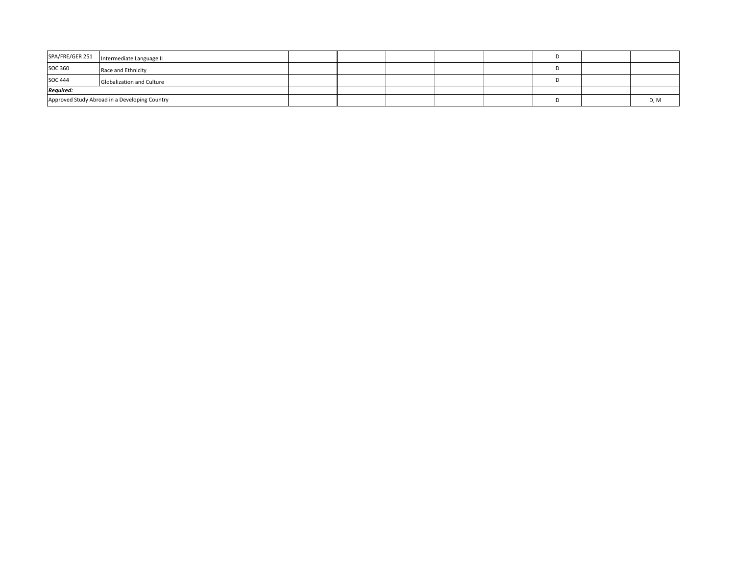| SPA/FRE/GER 251  | Intermediate Language II                      |  |  |  |      |
|------------------|-----------------------------------------------|--|--|--|------|
| <b>SOC 360</b>   | Race and Ethnicity                            |  |  |  |      |
| <b>SOC 444</b>   | <b>Globalization and Culture</b>              |  |  |  |      |
| <b>Required:</b> |                                               |  |  |  |      |
|                  | Approved Study Abroad in a Developing Country |  |  |  | D, M |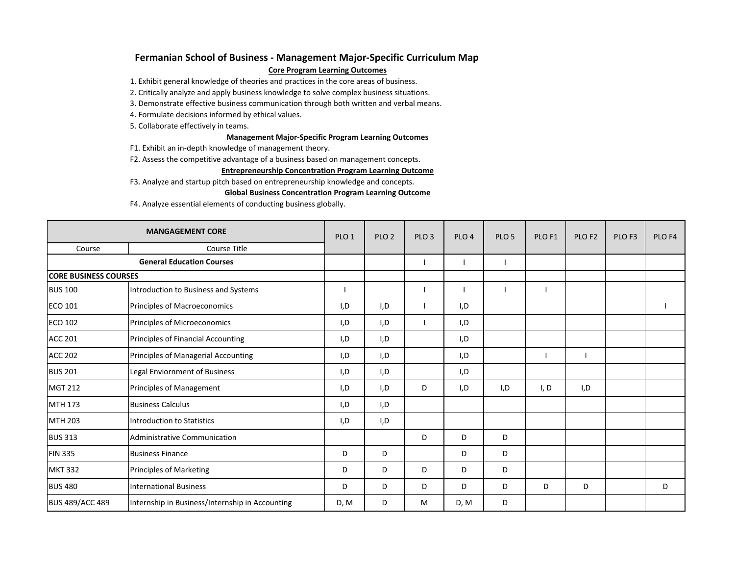# **Fermanian School of Business - Management Major-Specific Curriculum Map**

### **Core Program Learning Outcomes**

1. Exhibit general knowledge of theories and practices in the core areas of business.

- 2. Critically analyze and apply business knowledge to solve complex business situations.
- 3. Demonstrate effective business communication through both written and verbal means.
- 4. Formulate decisions informed by ethical values.
- 5. Collaborate effectively in teams.

### **Management Major-Specific Program Learning Outcomes**

- F1. Exhibit an in-depth knowledge of management theory.
- F2. Assess the competitive advantage of a business based on management concepts.

### **Entrepreneurship Concentration Program Learning Outcome**

F3. Analyze and startup pitch based on entrepreneurship knowledge and concepts.

## **Global Business Concentration Program Learning Outcome**

F4. Analyze essential elements of conducting business globally.

|                              | <b>MANGAGEMENT CORE</b>                         | PLO <sub>1</sub> | PLO <sub>2</sub> | PLO <sub>3</sub> | PLO <sub>4</sub> | PLO <sub>5</sub> | PLO <sub>F1</sub> | PLO <sub>F2</sub> | PLO <sub>F3</sub> | PLO <sub>F4</sub> |
|------------------------------|-------------------------------------------------|------------------|------------------|------------------|------------------|------------------|-------------------|-------------------|-------------------|-------------------|
| Course                       | Course Title                                    |                  |                  |                  |                  |                  |                   |                   |                   |                   |
|                              | <b>General Education Courses</b>                |                  |                  |                  |                  |                  |                   |                   |                   |                   |
| <b>CORE BUSINESS COURSES</b> |                                                 |                  |                  |                  |                  |                  |                   |                   |                   |                   |
| <b>BUS 100</b>               | Introduction to Business and Systems            |                  |                  |                  |                  |                  |                   |                   |                   |                   |
| <b>ECO 101</b>               | Principles of Macroeconomics                    | I,D              | I,D              |                  | I,D              |                  |                   |                   |                   |                   |
| <b>ECO 102</b>               | Principles of Microeconomics                    | I,D              | I,D              |                  | I,D              |                  |                   |                   |                   |                   |
| <b>ACC 201</b>               | Principles of Financial Accounting              | I,D              | I, D             |                  | I,D              |                  |                   |                   |                   |                   |
| <b>ACC 202</b>               | Principles of Managerial Accounting             | I,D              | I, D             |                  | I,D              |                  |                   |                   |                   |                   |
| <b>BUS 201</b>               | Legal Enviornment of Business                   | I,D              | I,D              |                  | I,D              |                  |                   |                   |                   |                   |
| <b>MGT 212</b>               | Principles of Management                        | I,D              | I, D             | D                | I,D              | I,D              | I, D              | I,D               |                   |                   |
| MTH 173                      | <b>Business Calculus</b>                        | I,D              | I,D              |                  |                  |                  |                   |                   |                   |                   |
| <b>MTH 203</b>               | Introduction to Statistics                      | I,D              | I, D             |                  |                  |                  |                   |                   |                   |                   |
| <b>BUS 313</b>               | Administrative Communication                    |                  |                  | D                | D                | D                |                   |                   |                   |                   |
| <b>FIN 335</b>               | <b>Business Finance</b>                         | D                | D                |                  | D                | D                |                   |                   |                   |                   |
| <b>MKT 332</b>               | <b>Principles of Marketing</b>                  | D                | D                | D                | D                | D                |                   |                   |                   |                   |
| <b>BUS 480</b>               | <b>International Business</b>                   | D                | D                | D                | D                | D                | D                 | D                 |                   | D                 |
| <b>BUS 489/ACC 489</b>       | Internship in Business/Internship in Accounting | D, M             | D                | м                | D, M             | D                |                   |                   |                   |                   |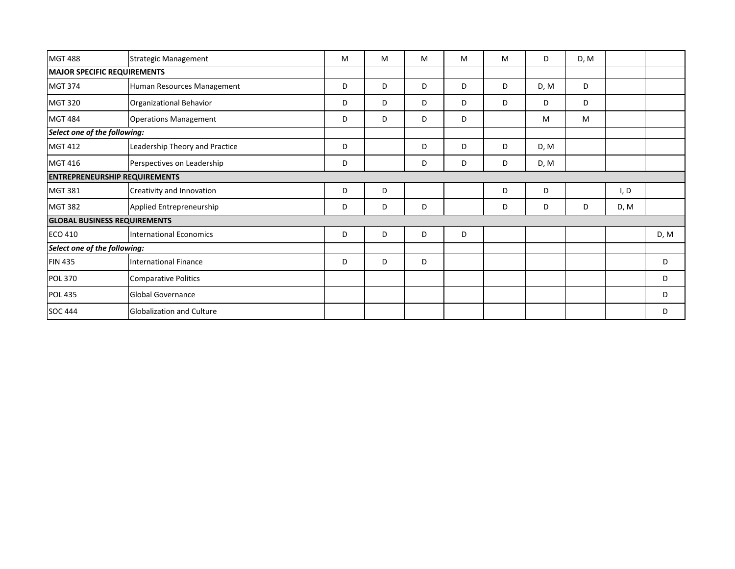| <b>MGT 488</b>               | <b>Strategic Management</b>          | M | M | M | M | M | D    | D, M |      |      |
|------------------------------|--------------------------------------|---|---|---|---|---|------|------|------|------|
|                              | <b>MAJOR SPECIFIC REQUIREMENTS</b>   |   |   |   |   |   |      |      |      |      |
| <b>MGT 374</b>               | Human Resources Management           | D | D | D | D | D | D, M | D    |      |      |
| <b>MGT 320</b>               | Organizational Behavior              | D | D | D | D | D | D    | D    |      |      |
| <b>MGT 484</b>               | <b>Operations Management</b>         | D | D | D | D |   | M    | M    |      |      |
| Select one of the following: |                                      |   |   |   |   |   |      |      |      |      |
| <b>MGT 412</b>               | Leadership Theory and Practice       | D |   | D | D | D | D, M |      |      |      |
| <b>MGT 416</b>               | Perspectives on Leadership           | D |   | D | D | D | D, M |      |      |      |
|                              | <b>ENTREPRENEURSHIP REQUIREMENTS</b> |   |   |   |   |   |      |      |      |      |
| <b>MGT 381</b>               | Creativity and Innovation            | D | D |   |   | D | D    |      | I, D |      |
| <b>MGT 382</b>               | Applied Entrepreneurship             | D | D | D |   | D | D    | D    | D, M |      |
|                              | <b>GLOBAL BUSINESS REQUIREMENTS</b>  |   |   |   |   |   |      |      |      |      |
| <b>ECO 410</b>               | <b>International Economics</b>       | D | D | D | D |   |      |      |      | D, M |
| Select one of the following: |                                      |   |   |   |   |   |      |      |      |      |
| <b>FIN 435</b>               | <b>International Finance</b>         | D | D | D |   |   |      |      |      | D    |
| <b>POL 370</b>               | <b>Comparative Politics</b>          |   |   |   |   |   |      |      |      | D    |
| <b>POL 435</b>               | <b>Global Governance</b>             |   |   |   |   |   |      |      |      | D    |
| <b>SOC 444</b>               | <b>Globalization and Culture</b>     |   |   |   |   |   |      |      |      | D    |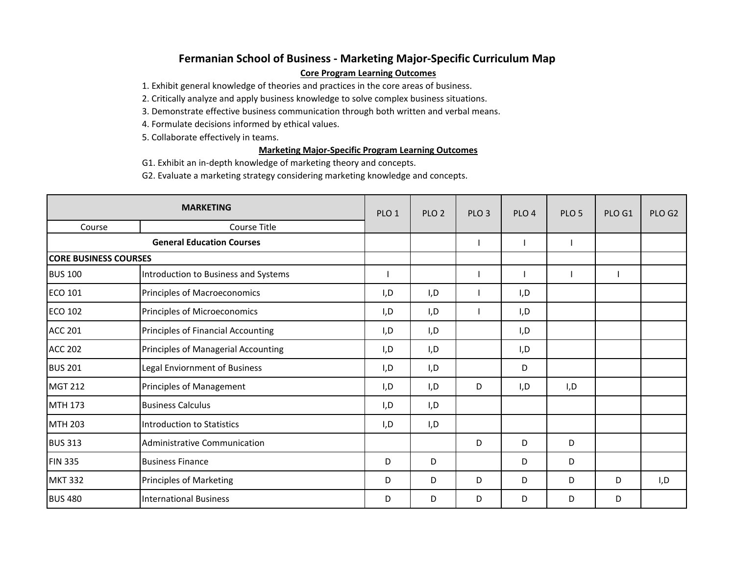# **Fermanian School of Business - Marketing Major-Specific Curriculum Map Core Program Learning Outcomes**

1. Exhibit general knowledge of theories and practices in the core areas of business.

2. Critically analyze and apply business knowledge to solve complex business situations.

3. Demonstrate effective business communication through both written and verbal means.

4. Formulate decisions informed by ethical values.

5. Collaborate effectively in teams.

# **Marketing Major-Specific Program Learning Outcomes**

G1. Exhibit an in-depth knowledge of marketing theory and concepts.

G2. Evaluate a marketing strategy considering marketing knowledge and concepts.

|                              | <b>MARKETING</b>                     | PLO <sub>1</sub> | PLO <sub>2</sub> | PLO <sub>3</sub> | PLO <sub>4</sub> | PLO <sub>5</sub> | PLO G1 | PLO G2 |
|------------------------------|--------------------------------------|------------------|------------------|------------------|------------------|------------------|--------|--------|
| Course                       | Course Title                         |                  |                  |                  |                  |                  |        |        |
|                              | <b>General Education Courses</b>     |                  |                  |                  |                  |                  |        |        |
| <b>CORE BUSINESS COURSES</b> |                                      |                  |                  |                  |                  |                  |        |        |
| <b>BUS 100</b>               | Introduction to Business and Systems |                  |                  |                  |                  |                  |        |        |
| <b>ECO 101</b>               | Principles of Macroeconomics         | I,D              | I,D              |                  | I,D              |                  |        |        |
| <b>ECO 102</b>               | Principles of Microeconomics         | I,D              | I,D              |                  | I,D              |                  |        |        |
| <b>ACC 201</b>               | Principles of Financial Accounting   | I,D              | I, D             |                  | I,D              |                  |        |        |
| <b>ACC 202</b>               | Principles of Managerial Accounting  | I,D              | I, D             |                  | I,D              |                  |        |        |
| <b>BUS 201</b>               | Legal Enviornment of Business        | I,D              | I,D              |                  | D                |                  |        |        |
| <b>MGT 212</b>               | Principles of Management             | I,D              | I,D              | D                | I,D              | I,D              |        |        |
| MTH 173                      | <b>Business Calculus</b>             | I,D              | I, D             |                  |                  |                  |        |        |
| <b>MTH 203</b>               | Introduction to Statistics           | I,D              | I, D             |                  |                  |                  |        |        |
| <b>BUS 313</b>               | Administrative Communication         |                  |                  | D                | D                | D                |        |        |
| <b>FIN 335</b>               | <b>Business Finance</b>              | D                | D                |                  | D                | D                |        |        |
| <b>MKT 332</b>               | <b>Principles of Marketing</b>       | D                | D                | D                | D                | D                | D      | I,D    |
| <b>BUS 480</b>               | <b>International Business</b>        | D                | D                | D                | D                | D                | D      |        |